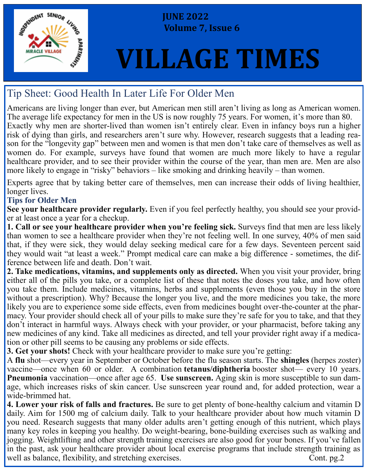

 **JUNE 2022 Volume 7, Issue 6**

# **VILLAGE TIMES**

## Tip Sheet: Good Health In Later Life For Older Men

Americans are living longer than ever, but American men still aren't living as long as American women. The average life expectancy for men in the US is now roughly 75 years. For women, it's more than 80. Exactly why men are shorter-lived than women isn't entirely clear. Even in infancy boys run a higher risk of dying than girls, and researchers aren't sure why. However, research suggests that a leading reason for the "longevity gap" between men and women is that men don't take care of themselves as well as women do. For example, surveys have found that women are much more likely to have a regular healthcare provider, and to see their provider within the course of the year, than men are. Men are also more likely to engage in "risky" behaviors – like smoking and drinking heavily – than women.

Experts agree that by taking better care of themselves, men can increase their odds of living healthier, longer lives.

### **Tips for Older Men**

**See your healthcare provider regularly.** Even if you feel perfectly healthy, you should see your provider at least once a year for a checkup.

**1. Call or see your healthcare provider when you're feeling sick.** Surveys find that men are less likely than women to see a healthcare provider when they're not feeling well. In one survey, 40% of men said that, if they were sick, they would delay seeking medical care for a few days. Seventeen percent said they would wait "at least a week." Prompt medical care can make a big difference - sometimes, the difference between life and death. Don't wait.

**2. Take medications, vitamins, and supplements only as directed.** When you visit your provider, bring either all of the pills you take, or a complete list of these that notes the doses you take, and how often you take them. Include medicines, vitamins, herbs and supplements (even those you buy in the store without a prescription). Why? Because the longer you live, and the more medicines you take, the more likely you are to experience some side effects, even from medicines bought over-the-counter at the pharmacy. Your provider should check all of your pills to make sure they're safe for you to take, and that they don't interact in harmful ways. Always check with your provider, or your pharmacist, before taking any new medicines of any kind. Take all medicines as directed, and tell your provider right away if a medication or other pill seems to be causing any problems or side effects.

**3. Get your shots!** Check with your healthcare provider to make sure you're getting:

A **flu** shot—every year in September or October before the flu season starts. The **shingles** (herpes zoster) vaccine—once when 60 or older. A combination **tetanus/diphtheria** booster shot— every 10 years. **Pneumonia** vaccination—once after age 65. **Use sunscreen.** Aging skin is more susceptible to sun damage, which increases risks of skin cancer. Use sunscreen year round and, for added protection, wear a wide-brimmed hat.

**4. Lower your risk of falls and fractures.** Be sure to get plenty of bone-healthy calcium and vitamin D daily. Aim for 1500 mg of calcium daily. Talk to your healthcare provider about how much vitamin D you need. Research suggests that many older adults aren't getting enough of this nutrient, which plays many key roles in keeping you healthy. Do weight-bearing, bone-building exercises such as walking and jogging. Weightlifting and other strength training exercises are also good for your bones. If you've fallen in the past, ask your healthcare provider about local exercise programs that include strength training as well as balance, flexibility, and stretching exercises. Cont. pg.2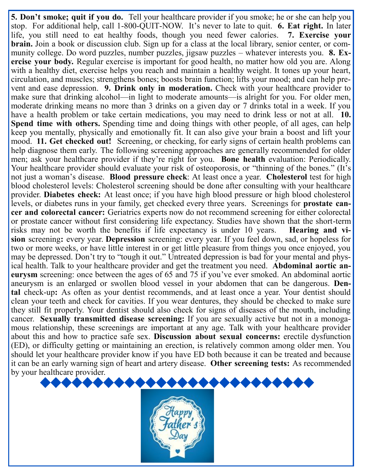**5. Don't smoke; quit if you do.** Tell your healthcare provider if you smoke; he or she can help you stop. For additional help, call 1-800-QUIT-NOW. It's never to late to quit. **6. Eat right.** In later life, you still need to eat healthy foods, though you need fewer calories. **7. Exercise your brain.** Join a book or discussion club. Sign up for a class at the local library, senior center, or community college. Do word puzzles, number puzzles, jigsaw puzzles – whatever interests you. **8. Exercise your body.** Regular exercise is important for good health, no matter how old you are. Along with a healthy diet, exercise helps you reach and maintain a healthy weight. It tones up your heart, circulation, and muscles; strengthens bones; boosts brain function; lifts your mood; and can help prevent and ease depression. **9. Drink only in moderation.** Check with your healthcare provider to make sure that drinking alcohol—in light to moderate amounts—is alright for you. For older men, moderate drinking means no more than 3 drinks on a given day or 7 drinks total in a week. If you have a health problem or take certain medications, you may need to drink less or not at all. **10. Spend time with others.** Spending time and doing things with other people, of all ages, can help keep you mentally, physically and emotionally fit. It can also give your brain a boost and lift your mood. **11. Get checked out!** Screening, or checking, for early signs of certain health problems can help diagnose them early. The following screening approaches are generally recommended for older men; ask your healthcare provider if they're right for you. **Bone health** evaluation: Periodically. Your healthcare provider should evaluate your risk of osteoporosis, or "thinning of the bones." (It's not just a woman's disease. **Blood pressure check**: At least once a year. **Cholesterol** test for high blood cholesterol levels: Cholesterol screening should be done after consulting with your healthcare provider. **Diabetes check:** At least once; if you have high blood pressure or high blood cholesterol levels, or diabetes runs in your family, get checked every three years. Screenings for **prostate cancer and colorectal cancer:** Geriatrics experts now do not recommend screening for either colorectal or prostate cancer without first considering life expectancy. Studies have shown that the short-term risks may not be worth the benefits if life expectancy is under 10 years. **Hearing and vision** screening**:** every year. **Depression** screening: every year. If you feel down, sad, or hopeless for two or more weeks, or have little interest in or get little pleasure from things you once enjoyed, you may be depressed. Don't try to "tough it out." Untreated depression is bad for your mental and physical health. Talk to your healthcare provider and get the treatment you need. **Abdominal aortic aneurysm** screening: once between the ages of 65 and 75 if you've ever smoked. An abdominal aortic aneurysm is an enlarged or swollen blood vessel in your abdomen that can be dangerous. **Dental** check-up**:** As often as your dentist recommends, and at least once a year. Your dentist should clean your teeth and check for cavities. If you wear dentures, they should be checked to make sure they still fit properly. Your dentist should also check for signs of diseases of the mouth, including cancer. **Sexually transmitted disease screening:** If you are sexually active but not in a monogamous relationship, these screenings are important at any age. Talk with your healthcare provider about this and how to practice safe sex. **Discussion about sexual concerns:** erectile dysfunction (ED), or difficulty getting or maintaining an erection, is relatively common among older men. You should let your healthcare provider know if you have ED both because it can be treated and because it can be an early warning sign of heart and artery disease. **Other screening tests:** As recommended by your healthcare provider.

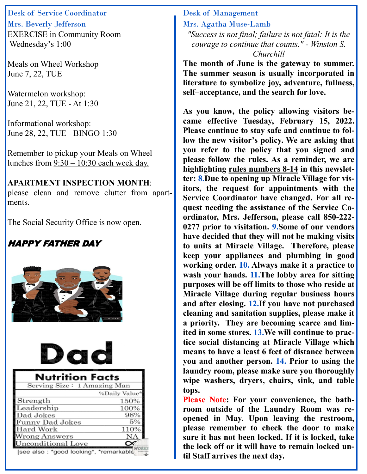Desk of Service Coordinator Mrs. Beverly Jefferson EXERCISE in Community Room Wednesday's 1:00

Meals on Wheel Workshop June 7, 22, TUE

Watermelon workshop: June 21, 22, TUE - At 1:30

Informational workshop: June 28, 22, TUE - BINGO 1:30

Remember to pickup your Meals on Wheel lunches from  $9:30 - 10:30$  each week day.

**APARTMENT INSPECTION MONTH**: please clean and remove clutter from apartments.

The Social Security Office is now open.

## HAPPY FATHER DAY





| <b>Nutrition Facts</b>                 |               |
|----------------------------------------|---------------|
| Serving Size: 1 Amazing Man            |               |
|                                        | %Daily Value* |
| Strength                               | 150%          |
| Leadership                             | 100%          |
| Dad Jokes                              | 98%           |
| <b>Funny Dad Jokes</b>                 | 5%            |
| Hard Work                              | 110%          |
| <b>Wrong Answers</b>                   | NА            |
| <b>Jnconditional Love</b>              |               |
| Isee also: *good looking*, *remarkable |               |

Desk of Management Mrs. Agatha Muse-Lamb *"Success is not final; failure is not fatal: It is the courage to continue that counts." - Winston S. Churchill*

**The month of June is the gateway to summer. The summer season is usually incorporated in literature to symbolize joy, adventure, fullness, self–acceptance, and the search for love.**

**As you know, the policy allowing visitors became effective Tuesday, February 15, 2022. Please continue to stay safe and continue to follow the new visitor's policy. We are asking that you refer to the policy that you signed and please follow the rules. As a reminder, we are highlighting rules numbers 8-14 in this newsletter: 8.Due to opening up Miracle Village for visitors, the request for appointments with the Service Coordinator have changed. For all request needing the assistance of the Service Coordinator, Mrs. Jefferson, please call 850-222- 0277 prior to visitation. 9.Some of our vendors have decided that they will not be making visits to units at Miracle Village. Therefore, please keep your appliances and plumbing in good working order. 10. Always make it a practice to wash your hands. 11.The lobby area for sitting purposes will be off limits to those who reside at Miracle Village during regular business hours and after closing. 12.If you have not purchased cleaning and sanitation supplies, please make it a priority. They are becoming scarce and limited in some stores. 13.We will continue to practice social distancing at Miracle Village which means to have a least 6 feet of distance between you and another person. 14. Prior to using the laundry room, please make sure you thoroughly wipe washers, dryers, chairs, sink, and table tops.**

**Please Note: For your convenience, the bathroom outside of the Laundry Room was reopened in May. Upon leaving the restroom, please remember to check the door to make sure it has not been locked. If it is locked, take the lock off or it will have to remain locked until Staff arrives the next day.**